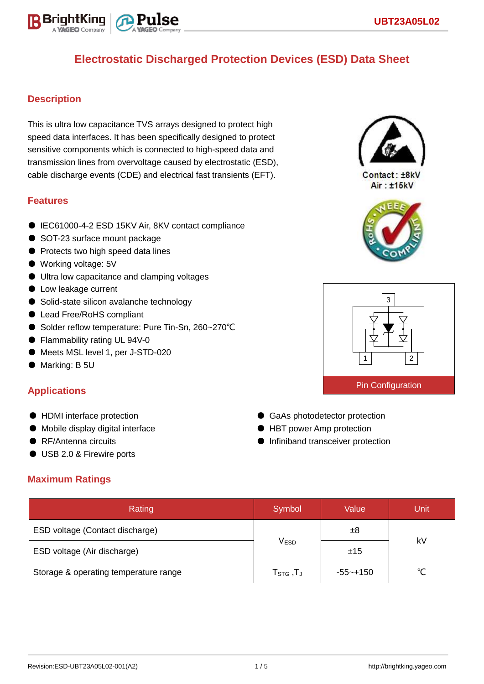

# **Electrostatic Discharged Protection Devices (ESD) Data Sheet**

### **Description**

This is ultra low capacitance TVS arrays designed to protect high speed data interfaces. It has been specifically designed to protect sensitive components which is connected to high-speed data and transmission lines from overvoltage caused by electrostatic (ESD), cable discharge events (CDE) and electrical fast transients (EFT).

### **Features**

- IEC61000-4-2 ESD 15KV Air, 8KV contact compliance
- SOT-23 surface mount package
- Protects two high speed data lines
- Working voltage: 5V
- Ultra low capacitance and clamping voltages
- Low leakage current
- Solid-state silicon avalanche technology
- Lead Free/RoHS compliant
- Solder reflow temperature: Pure Tin-Sn, 260~270°C
- Flammability rating UL 94V-0
- Meets MSL level 1, per J-STD-020
- Marking: B 5U

### **Applications**

- HDMI interface protection
- Mobile display digital interface
- RF/Antenna circuits
- USB 2.0 & Firewire ports

### **Maximum Ratings**



Contact: +8kV Air: ±15kV





- GaAs photodetector protection
- HBT power Amp protection
- Infiniband transceiver protection

| Rating                                | Symbol                                       | Value        | <b>Unit</b> |  |  |
|---------------------------------------|----------------------------------------------|--------------|-------------|--|--|
| ESD voltage (Contact discharge)       |                                              | ±8           |             |  |  |
| ESD voltage (Air discharge)           | <b>VESD</b>                                  | ±15          | kV          |  |  |
| Storage & operating temperature range | ${\sf T}_{\texttt{STG}}$ , ${\sf T}_{\sf J}$ | $-55 - +150$ |             |  |  |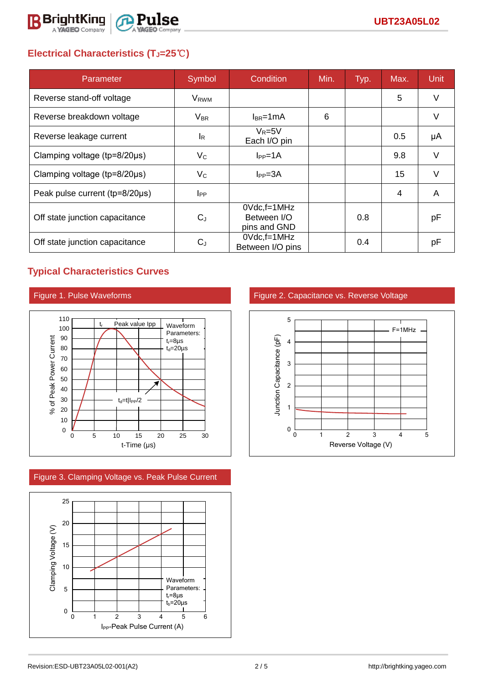

# **Electrical Characteristics (TJ=25**℃**)**

| Parameter                              | Symbol                  | Condition                                      | Min. | Typ. | Max. | <b>Unit</b> |
|----------------------------------------|-------------------------|------------------------------------------------|------|------|------|-------------|
| Reverse stand-off voltage              | <b>V</b> <sub>RWM</sub> |                                                |      |      | 5    | V           |
| Reverse breakdown voltage              | $V_{BR}$                | $I_{BR}$ =1mA                                  | 6    |      |      | V           |
| Reverse leakage current                | <sub>lR</sub>           | $V_R = 5V$<br>Each I/O pin                     |      |      | 0.5  | μA          |
| Clamping voltage ( $tp = 8/20 \mu s$ ) | $V_{C}$                 | $I_{PP}=1A$                                    |      |      | 9.8  | V           |
| Clamping voltage ( $tp = 8/20 \mu s$ ) | $V_{C}$                 | $I_{PP} = 3A$                                  |      |      | 15   | $\vee$      |
| Peak pulse current (tp=8/20µs)         | <b>I</b> <sub>PP</sub>  |                                                |      |      | 4    | A           |
| Off state junction capacitance         | $C_J$                   | $0Vdc.f = 1MHz$<br>Between I/O<br>pins and GND |      | 0.8  |      | pF          |
| Off state junction capacitance         | $C_{J}$                 | $0Vdc.f = 1MHz$<br>Between I/O pins            |      | 0.4  |      | рF          |

## **Typical Characteristics Curves**



### Figure 3. Clamping Voltage vs. Peak Pulse Current



Figure 1. Pulse Waveforms Figure 2. Capacitance vs. Reverse Voltage

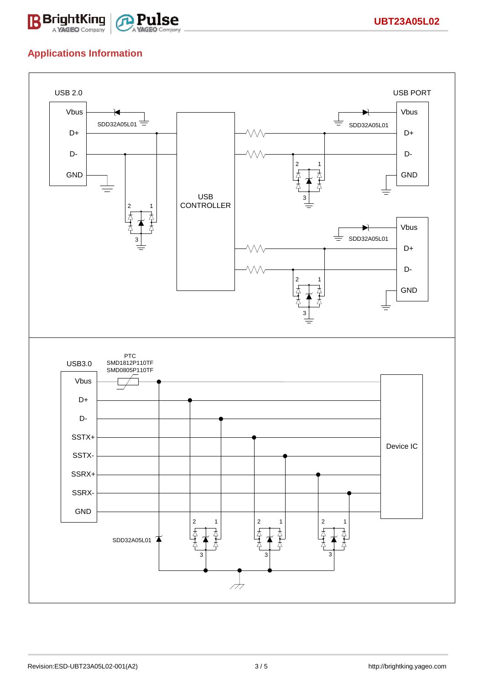

## **Applications Information**

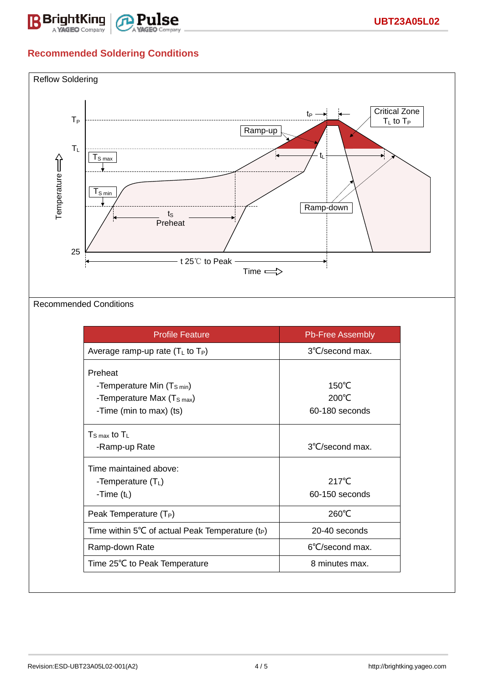

# **Recommended Soldering Conditions**